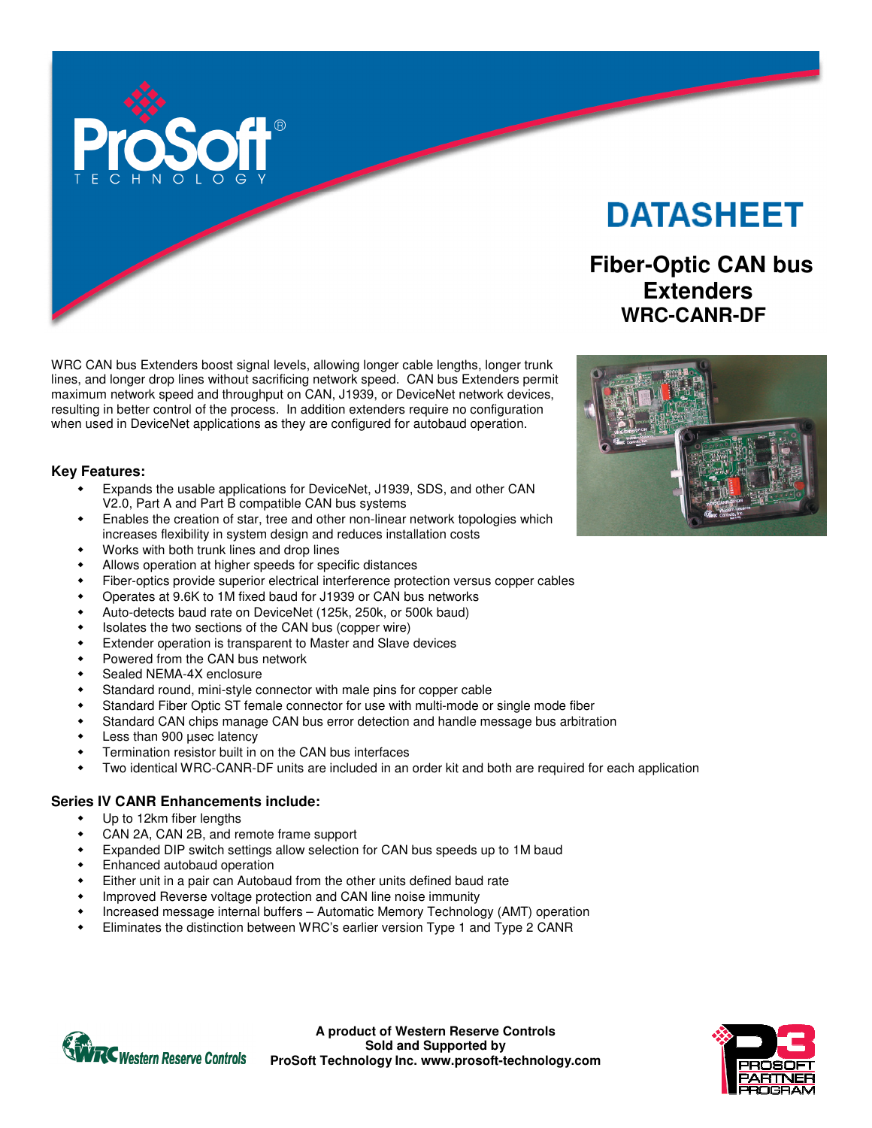

WRC CAN bus Extenders boost signal levels, allowing longer cable lengths, longer trunk lines, and longer drop lines without sacrificing network speed. CAN bus Extenders permit maximum network speed and throughput on CAN, J1939, or DeviceNet network devices, resulting in better control of the process. In addition extenders require no configuration when used in DeviceNet applications as they are configured for autobaud operation.

#### **Key Features:**

- Expands the usable applications for DeviceNet, J1939, SDS, and other CAN V2.0, Part A and Part B compatible CAN bus systems
- Enables the creation of star, tree and other non-linear network topologies which increases flexibility in system design and reduces installation costs
- Works with both trunk lines and drop lines
- Allows operation at higher speeds for specific distances
- Fiber-optics provide superior electrical interference protection versus copper cables
- Operates at 9.6K to 1M fixed baud for J1939 or CAN bus networks
- Auto-detects baud rate on DeviceNet (125k, 250k, or 500k baud)
- Isolates the two sections of the CAN bus (copper wire)
- Extender operation is transparent to Master and Slave devices
- Powered from the CAN bus network
- Sealed NEMA-4X enclosure
- Standard round, mini-style connector with male pins for copper cable
- Standard Fiber Optic ST female connector for use with multi-mode or single mode fiber
- Standard CAN chips manage CAN bus error detection and handle message bus arbitration
- Less than 900 µsec latency
- Termination resistor built in on the CAN bus interfaces
- Two identical WRC-CANR-DF units are included in an order kit and both are required for each application

## **Series IV CANR Enhancements include:**

- Up to 12km fiber lengths
- CAN 2A, CAN 2B, and remote frame support
- Expanded DIP switch settings allow selection for CAN bus speeds up to 1M baud
- Enhanced autobaud operation
- Either unit in a pair can Autobaud from the other units defined baud rate
- Improved Reverse voltage protection and CAN line noise immunity
- Increased message internal buffers Automatic Memory Technology (AMT) operation
- Eliminates the distinction between WRC's earlier version Type 1 and Type 2 CANR



**A product of Western Reserve Controls Sold and Supported by ProSoft Technology Inc. www.prosoft-technology.com** 

# **DATASHEET**

# **Fiber-Optic CAN bus Extenders WRC-CANR-DF**